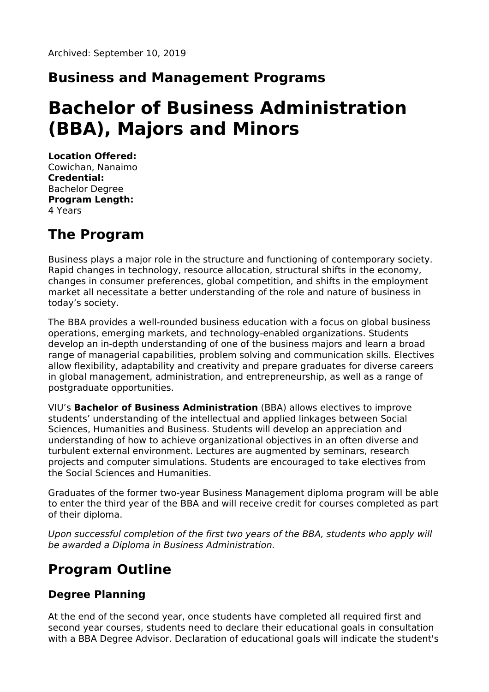### **Business and Management Programs**

# **Bachelor of Business Administration (BBA), Majors and Minors**

**Location Offered:** Cowichan, Nanaimo **Credential:** Bachelor Degree **Program Length:** 4 Years

# **The Program**

Business plays a major role in the structure and functioning of contemporary society. Rapid changes in technology, resource allocation, structural shifts in the economy, changes in consumer preferences, global competition, and shifts in the employment market all necessitate a better understanding of the role and nature of business in today's society.

The BBA provides a well-rounded business education with a focus on global business operations, emerging markets, and technology-enabled organizations. Students develop an in-depth understanding of one of the business majors and learn a broad range of managerial capabilities, problem solving and communication skills. Electives allow flexibility, adaptability and creativity and prepare graduates for diverse careers in global management, administration, and entrepreneurship, as well as a range of postgraduate opportunities.

VIU's **Bachelor of Business Administration** (BBA) allows electives to improve students' understanding of the intellectual and applied linkages between Social Sciences, Humanities and Business. Students will develop an appreciation and understanding of how to achieve organizational objectives in an often diverse and turbulent external environment. Lectures are augmented by seminars, research projects and computer simulations. Students are encouraged to take electives from the Social Sciences and Humanities.

Graduates of the former two-year Business Management diploma program will be able to enter the third year of the BBA and will receive credit for courses completed as part of their diploma.

Upon successful completion of the first two years of the BBA, students who apply will be awarded a Diploma in Business Administration.

# **Program Outline**

### **Degree Planning**

At the end of the second year, once students have completed all required first and second year courses, students need to declare their educational goals in consultation with a BBA Degree Advisor. Declaration of educational goals will indicate the student's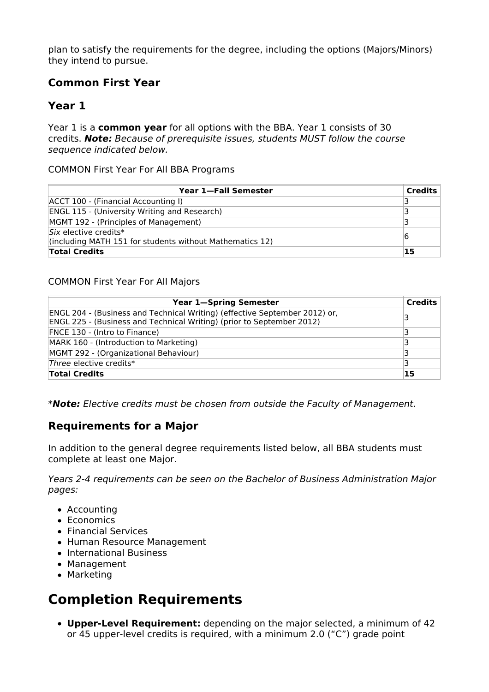plan to satisfy the requirements for the degree, including the options (Majors/Minors) they intend to pursue.

### **Common First Year**

### **Year 1**

Year 1 is a **common year** for all options with the BBA. Year 1 consists of 30 credits. **Note:** Because of prerequisite issues, students MUST follow the course sequence indicated below.

COMMON First Year For All BBA Programs

| Year 1-Fall Semester                                                                | <b>Credits</b> |
|-------------------------------------------------------------------------------------|----------------|
| ACCT 100 - (Financial Accounting I)                                                 |                |
| <b>ENGL 115 - (University Writing and Research)</b>                                 |                |
| MGMT 192 - (Principles of Management)                                               |                |
| $Six$ elective credits*<br>(including MATH 151 for students without Mathematics 12) | 16             |
| <b>Total Credits</b>                                                                | 15             |

#### COMMON First Year For All Majors

| <b>Year 1-Spring Semester</b>                                              | <b>Credits</b> |
|----------------------------------------------------------------------------|----------------|
| ENGL 204 - (Business and Technical Writing) (effective September 2012) or, | 3              |
| ENGL 225 - (Business and Technical Writing) (prior to September 2012)      |                |
| FNCE 130 - (Intro to Finance)                                              | 3              |
| MARK 160 - (Introduction to Marketing)                                     | 3              |
| MGMT 292 - (Organizational Behaviour)                                      |                |
| Three elective credits*                                                    | 3              |
| <b>Total Credits</b>                                                       | 15             |

\***Note:** Elective credits must be chosen from outside the Faculty of Management.

### **Requirements for a Major**

In addition to the general degree requirements listed below, all BBA students must complete at least one Major.

Years 2-4 requirements can be seen on the Bachelor of Business Administration Major pages:

- Accounting
- Economics
- Financial Services
- Human Resource Management
- International Business
- Management
- Marketing

# **Completion Requirements**

**Upper-Level Requirement:** depending on the major selected, a minimum of 42 or 45 upper-level credits is required, with a minimum 2.0 ("C") grade point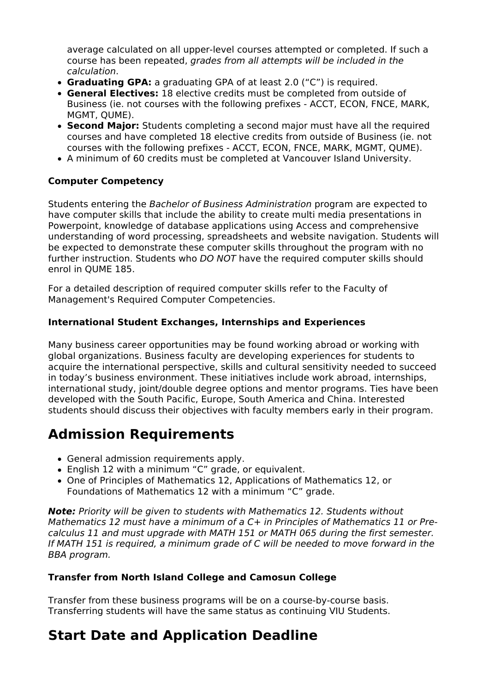average calculated on all upper-level courses attempted or completed. If such a course has been repeated, grades from all attempts will be included in the calculation.

- **Graduating GPA:** a graduating GPA of at least 2.0 ("C") is required.
- **General Electives:** 18 elective credits must be completed from outside of Business (ie. not courses with the following prefixes - ACCT, ECON, FNCE, MARK, MGMT, QUME).
- **Second Major:** Students completing a second major must have all the required courses and have completed 18 elective credits from outside of Business (ie. not courses with the following prefixes - ACCT, ECON, FNCE, MARK, MGMT, QUME).
- A minimum of 60 credits must be completed at Vancouver Island University.

#### **Computer Competency**

Students entering the Bachelor of Business Administration program are expected to have computer skills that include the ability to create multi media presentations in Powerpoint, knowledge of database applications using Access and comprehensive understanding of word processing, spreadsheets and website navigation. Students will be expected to demonstrate these computer skills throughout the program with no further instruction. Students who DO NOT have the required computer skills should enrol in QUME 185.

For a detailed description of required computer skills refer to the Faculty of Management's Required Computer Competencies.

#### **International Student Exchanges, Internships and Experiences**

Many business career opportunities may be found working abroad or working with global organizations. Business faculty are developing experiences for students to acquire the international perspective, skills and cultural sensitivity needed to succeed in today's business environment. These initiatives include work abroad, internships, international study, joint/double degree options and mentor programs. Ties have been developed with the South Pacific, Europe, South America and China. Interested students should discuss their objectives with faculty members early in their program.

# **Admission Requirements**

- General admission requirements apply.
- English 12 with a minimum "C" grade, or equivalent.
- One of Principles of Mathematics 12, Applications of Mathematics 12, or Foundations of Mathematics 12 with a minimum "C" grade.

**Note:** Priority will be given to students with Mathematics 12. Students without Mathematics 12 must have a minimum of a C+ in Principles of Mathematics 11 or Precalculus 11 and must upgrade with MATH 151 or MATH 065 during the first semester. If MATH 151 is required, a minimum grade of C will be needed to move forward in the BBA program.

#### **Transfer from North Island College and Camosun College**

Transfer from these business programs will be on a course-by-course basis. Transferring students will have the same status as continuing VIU Students.

# **Start Date and Application Deadline**